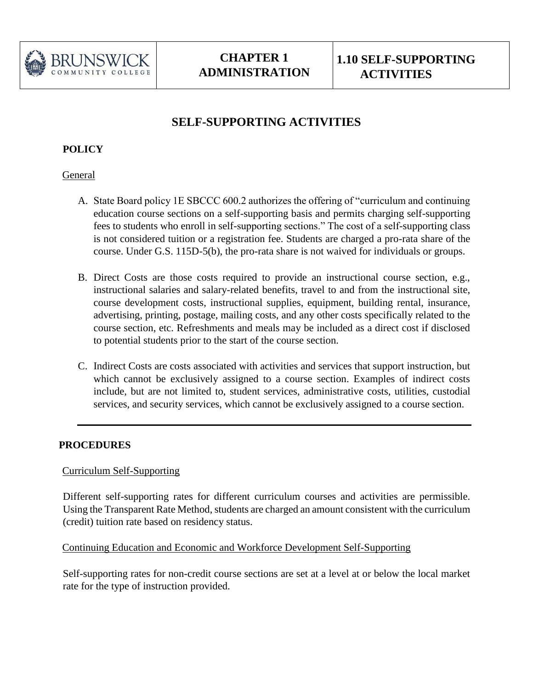

# **SELF-SUPPORTING ACTIVITIES**

## **POLICY**

#### **General**

- A. State Board policy 1E SBCCC 600.2 authorizes the offering of "curriculum and continuing education course sections on a self-supporting basis and permits charging self-supporting fees to students who enroll in self-supporting sections." The cost of a self-supporting class is not considered tuition or a registration fee. Students are charged a pro-rata share of the course. Under G.S. 115D-5(b), the pro-rata share is not waived for individuals or groups.
- B. Direct Costs are those costs required to provide an instructional course section, e.g., instructional salaries and salary-related benefits, travel to and from the instructional site, course development costs, instructional supplies, equipment, building rental, insurance, advertising, printing, postage, mailing costs, and any other costs specifically related to the course section, etc. Refreshments and meals may be included as a direct cost if disclosed to potential students prior to the start of the course section.
- C. Indirect Costs are costs associated with activities and services that support instruction, but which cannot be exclusively assigned to a course section. Examples of indirect costs include, but are not limited to, student services, administrative costs, utilities, custodial services, and security services, which cannot be exclusively assigned to a course section.

## **PROCEDURES**

## Curriculum Self-Supporting

Different self-supporting rates for different curriculum courses and activities are permissible. Using the Transparent Rate Method, students are charged an amount consistent with the curriculum (credit) tuition rate based on residency status.

#### Continuing Education and Economic and Workforce Development Self-Supporting

Self-supporting rates for non-credit course sections are set at a level at or below the local market rate for the type of instruction provided.